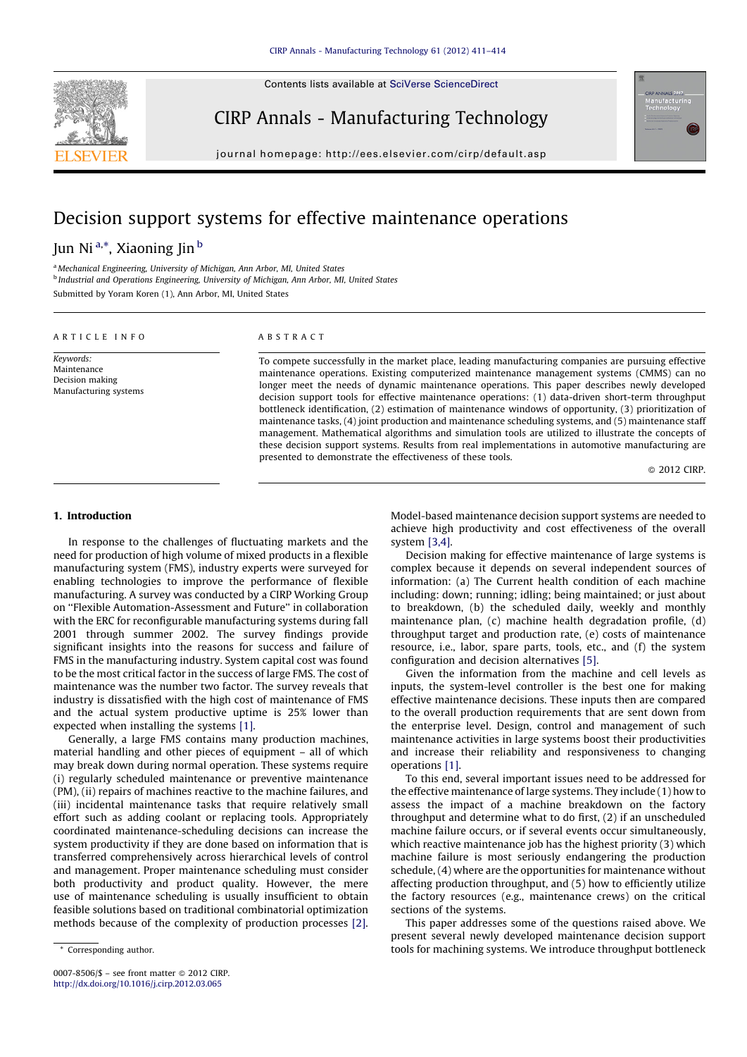Contents lists available at SciVerse [ScienceDirect](http://www.sciencedirect.com/science/journal/00078506)

CIRP Annals - Manufacturing Technology



journal homepage: http://ees.elsevier.com/cirp/default.asp

# Decision support systems for effective maintenance operations

# Jun Ni<sup>a,</sup>\*, Xiaoning Jin <sup>b</sup>

<sup>a</sup> Mechanical Engineering, University of Michigan, Ann Arbor, MI, United States **b** Industrial and Operations Engineering, University of Michigan, Ann Arbor, MI, United States Submitted by Yoram Koren (1), Ann Arbor, MI, United States

### A R T I C L E I N F O

Keywords: Maintenance Decision making Manufacturing systems

#### A B S T R A C T

To compete successfully in the market place, leading manufacturing companies are pursuing effective maintenance operations. Existing computerized maintenance management systems (CMMS) can no longer meet the needs of dynamic maintenance operations. This paper describes newly developed decision support tools for effective maintenance operations: (1) data-driven short-term throughput bottleneck identification, (2) estimation of maintenance windows of opportunity, (3) prioritization of maintenance tasks, (4) joint production and maintenance scheduling systems, and (5) maintenance staff management. Mathematical algorithms and simulation tools are utilized to illustrate the concepts of these decision support systems. Results from real implementations in automotive manufacturing are presented to demonstrate the effectiveness of these tools.

© 2012 CIRP.

# 1. Introduction

In response to the challenges of fluctuating markets and the need for production of high volume of mixed products in a flexible manufacturing system (FMS), industry experts were surveyed for enabling technologies to improve the performance of flexible manufacturing. A survey was conducted by a CIRP Working Group on ''Flexible Automation-Assessment and Future'' in collaboration with the ERC for reconfigurable manufacturing systems during fall 2001 through summer 2002. The survey findings provide significant insights into the reasons for success and failure of FMS in the manufacturing industry. System capital cost was found to be the most critical factor in the success of large FMS. The cost of maintenance was the number two factor. The survey reveals that industry is dissatisfied with the high cost of maintenance of FMS and the actual system productive uptime is 25% lower than expected when installing the systems [\[1\].](#page--1-0)

Generally, a large FMS contains many production machines, material handling and other pieces of equipment – all of which may break down during normal operation. These systems require (i) regularly scheduled maintenance or preventive maintenance (PM), (ii) repairs of machines reactive to the machine failures, and (iii) incidental maintenance tasks that require relatively small effort such as adding coolant or replacing tools. Appropriately coordinated maintenance-scheduling decisions can increase the system productivity if they are done based on information that is transferred comprehensively across hierarchical levels of control and management. Proper maintenance scheduling must consider both productivity and product quality. However, the mere use of maintenance scheduling is usually insufficient to obtain feasible solutions based on traditional combinatorial optimization methods because of the complexity of production processes [\[2\].](#page--1-0) Model-based maintenance decision support systems are needed to achieve high productivity and cost effectiveness of the overall system [\[3,4\].](#page--1-0)

Decision making for effective maintenance of large systems is complex because it depends on several independent sources of information: (a) The Current health condition of each machine including: down; running; idling; being maintained; or just about to breakdown, (b) the scheduled daily, weekly and monthly maintenance plan, (c) machine health degradation profile, (d) throughput target and production rate, (e) costs of maintenance resource, i.e., labor, spare parts, tools, etc., and (f) the system configuration and decision alternatives [\[5\]](#page--1-0).

Given the information from the machine and cell levels as inputs, the system-level controller is the best one for making effective maintenance decisions. These inputs then are compared to the overall production requirements that are sent down from the enterprise level. Design, control and management of such maintenance activities in large systems boost their productivities and increase their reliability and responsiveness to changing operations [\[1\].](#page--1-0)

To this end, several important issues need to be addressed for the effective maintenance of large systems. They include (1) how to assess the impact of a machine breakdown on the factory throughput and determine what to do first, (2) if an unscheduled machine failure occurs, or if several events occur simultaneously, which reactive maintenance job has the highest priority (3) which machine failure is most seriously endangering the production schedule, (4) where are the opportunities for maintenance without affecting production throughput, and (5) how to efficiently utilize the factory resources (e.g., maintenance crews) on the critical sections of the systems.

This paper addresses some of the questions raised above. We present several newly developed maintenance decision support tools for machining systems. We introduce throughput bottleneck

<sup>\*</sup> Corresponding author.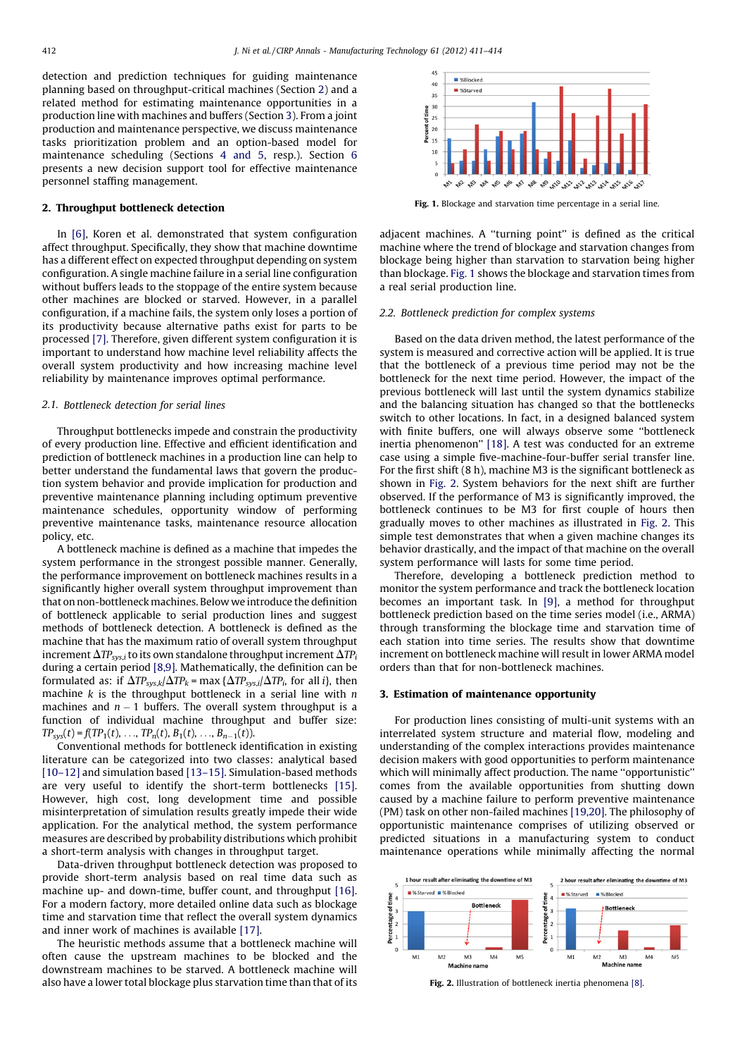detection and prediction techniques for guiding maintenance planning based on throughput-critical machines (Section 2) and a related method for estimating maintenance opportunities in a production line with machines and buffers (Section 3). From a joint production and maintenance perspective, we discuss maintenance tasks prioritization problem and an option-based model for maintenance scheduling (Sections 4 [and](#page--1-0) 5, resp.). Section [6](#page--1-0) presents a new decision support tool for effective maintenance personnel staffing management.

#### 2. Throughput bottleneck detection

In [\[6\]](#page--1-0), Koren et al. demonstrated that system configuration affect throughput. Specifically, they show that machine downtime has a different effect on expected throughput depending on system configuration. A single machine failure in a serial line configuration without buffers leads to the stoppage of the entire system because other machines are blocked or starved. However, in a parallel configuration, if a machine fails, the system only loses a portion of its productivity because alternative paths exist for parts to be processed [\[7\].](#page--1-0) Therefore, given different system configuration it is important to understand how machine level reliability affects the overall system productivity and how increasing machine level reliability by maintenance improves optimal performance.

## 2.1. Bottleneck detection for serial lines

Throughput bottlenecks impede and constrain the productivity of every production line. Effective and efficient identification and prediction of bottleneck machines in a production line can help to better understand the fundamental laws that govern the production system behavior and provide implication for production and preventive maintenance planning including optimum preventive maintenance schedules, opportunity window of performing preventive maintenance tasks, maintenance resource allocation policy, etc.

A bottleneck machine is defined as a machine that impedes the system performance in the strongest possible manner. Generally, the performance improvement on bottleneck machines results in a significantly higher overall system throughput improvement than that on non-bottleneck machines. Below we introduce the definition of bottleneck applicable to serial production lines and suggest methods of bottleneck detection. A bottleneck is defined as the machine that has the maximum ratio of overall system throughput increment  $\Delta TP_{svs.i}$  to its own standalone throughput increment  $\Delta TP_i$ during a certain period [\[8,9\].](#page--1-0) Mathematically, the definition can be formulated as: if  $\Delta TP_{sys,k}/\Delta TP_k$  = max  $\{\Delta TP_{sys,i}/\Delta TP_i$ , for all *i*}, then machine  $k$  is the throughput bottleneck in a serial line with  $n$ machines and  $n-1$  buffers. The overall system throughput is a function of individual machine throughput and buffer size:  $TP_{sys}(t) = f(TP_1(t), ..., TP_n(t), B_1(t), ..., B_{n-1}(t)).$ 

Conventional methods for bottleneck identification in existing literature can be categorized into two classes: analytical based [\[10–12\]](#page--1-0) and simulation based [\[13–15\].](#page--1-0) Simulation-based methods are very useful to identify the short-term bottlenecks [\[15\].](#page--1-0) However, high cost, long development time and possible misinterpretation of simulation results greatly impede their wide application. For the analytical method, the system performance measures are described by probability distributions which prohibit a short-term analysis with changes in throughput target.

Data-driven throughput bottleneck detection was proposed to provide short-term analysis based on real time data such as machine up- and down-time, buffer count, and throughput [\[16\].](#page--1-0) For a modern factory, more detailed online data such as blockage time and starvation time that reflect the overall system dynamics and inner work of machines is available [\[17\].](#page--1-0)

The heuristic methods assume that a bottleneck machine will often cause the upstream machines to be blocked and the downstream machines to be starved. A bottleneck machine will also have a lower total blockage plus starvation time than that of its



Fig. 1. Blockage and starvation time percentage in a serial line.

adjacent machines. A ''turning point'' is defined as the critical machine where the trend of blockage and starvation changes from blockage being higher than starvation to starvation being higher than blockage. Fig. 1 shows the blockage and starvation times from a real serial production line.

#### 2.2. Bottleneck prediction for complex systems

Based on the data driven method, the latest performance of the system is measured and corrective action will be applied. It is true that the bottleneck of a previous time period may not be the bottleneck for the next time period. However, the impact of the previous bottleneck will last until the system dynamics stabilize and the balancing situation has changed so that the bottlenecks switch to other locations. In fact, in a designed balanced system with finite buffers, one will always observe some ''bottleneck inertia phenomenon'' [\[18\].](#page--1-0) A test was conducted for an extreme case using a simple five-machine-four-buffer serial transfer line. For the first shift (8 h), machine M3 is the significant bottleneck as shown in Fig. 2. System behaviors for the next shift are further observed. If the performance of M3 is significantly improved, the bottleneck continues to be M3 for first couple of hours then gradually moves to other machines as illustrated in Fig. 2. This simple test demonstrates that when a given machine changes its behavior drastically, and the impact of that machine on the overall system performance will lasts for some time period.

Therefore, developing a bottleneck prediction method to monitor the system performance and track the bottleneck location becomes an important task. In [\[9\]](#page--1-0), a method for throughput bottleneck prediction based on the time series model (i.e., ARMA) through transforming the blockage time and starvation time of each station into time series. The results show that downtime increment on bottleneck machine will result in lower ARMA model orders than that for non-bottleneck machines.

## 3. Estimation of maintenance opportunity

For production lines consisting of multi-unit systems with an interrelated system structure and material flow, modeling and understanding of the complex interactions provides maintenance decision makers with good opportunities to perform maintenance which will minimally affect production. The name ''opportunistic'' comes from the available opportunities from shutting down caused by a machine failure to perform preventive maintenance (PM) task on other non-failed machines [\[19,20\].](#page--1-0) The philosophy of opportunistic maintenance comprises of utilizing observed or predicted situations in a manufacturing system to conduct maintenance operations while minimally affecting the normal



Fig. 2. Illustration of bottleneck inertia phenomena [\[8\]](#page--1-0).